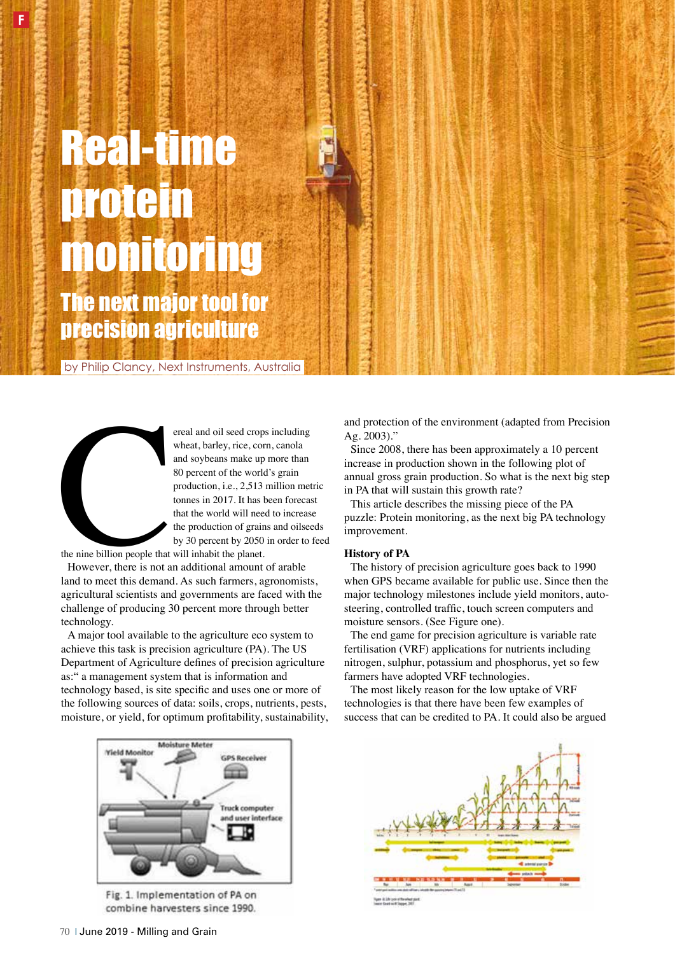# Real-time protein monitoring The next major tool for precision agriculture

by Philip Clancy, Next Instruments, Australia



**F**

ereal and oil seed crops including<br>wheat, barley, rice, corn, canola<br>and soybeans make up more than<br>80 percent of the world's grain<br>production, i.e., 2,513 million met<br>tonnes in 2017. It has been forecase<br>that the world wi wheat, barley, rice, corn, canola and soybeans make up more than 80 percent of the world's grain production, i.e., 2,513 million metric tonnes in 2017. It has been forecast that the world will need to increase the production of grains and oilseeds by 30 percent by 2050 in order to feed

the nine billion people that will inhabit the planet.

However, there is not an additional amount of arable land to meet this demand. As such farmers, agronomists, agricultural scientists and governments are faced with the challenge of producing 30 percent more through better technology.

A major tool available to the agriculture eco system to achieve this task is precision agriculture (PA). The US Department of Agriculture defnes of precision agriculture as:" a management system that is information and technology based, is site specifc and uses one or more of the following sources of data: soils, crops, nutrients, pests, moisture, or yield, for optimum proftability, sustainability,



Fig. 1. Implementation of PA on combine harvesters since 1990.

and protection of the environment (adapted from Precision Ag. 2003)."

Since 2008, there has been approximately a 10 percent increase in production shown in the following plot of annual gross grain production. So what is the next big step in PA that will sustain this growth rate?

This article describes the missing piece of the PA puzzle: Protein monitoring, as the next big PA technology improvement.

### **History of PA**

The history of precision agriculture goes back to 1990 when GPS became available for public use. Since then the major technology milestones include yield monitors, autosteering, controlled traffc, touch screen computers and moisture sensors. (See Figure one).

The end game for precision agriculture is variable rate fertilisation (VRF) applications for nutrients including nitrogen, sulphur, potassium and phosphorus, yet so few farmers have adopted VRF technologies.

The most likely reason for the low uptake of VRF technologies is that there have been few examples of success that can be credited to PA. It could also be argued

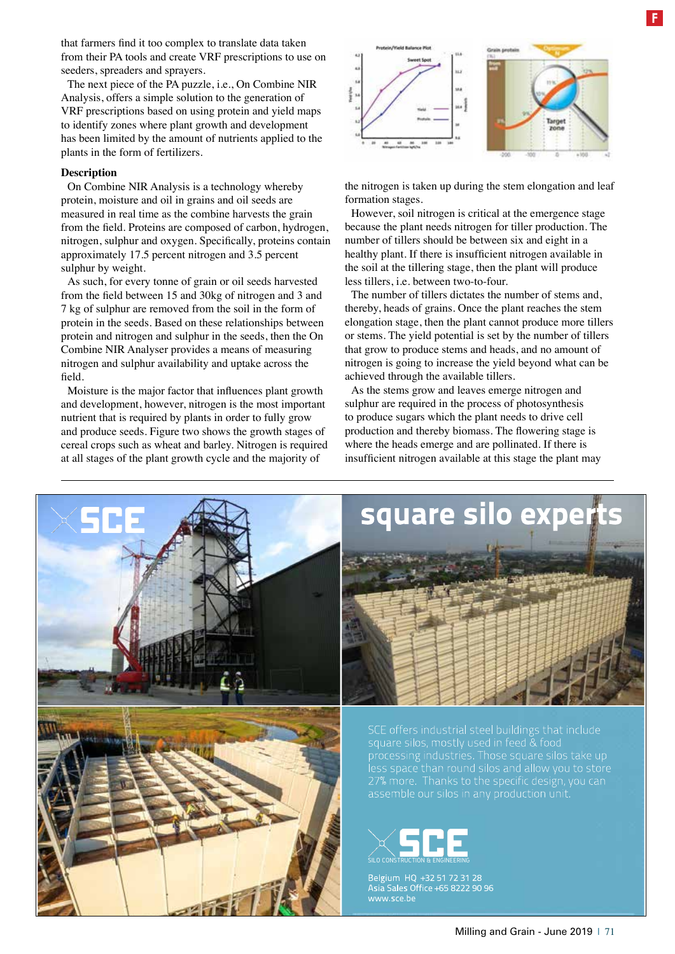that farmers fnd it too complex to translate data taken from their PA tools and create VRF prescriptions to use on seeders, spreaders and sprayers.

The next piece of the PA puzzle, i.e., On Combine NIR Analysis, offers a simple solution to the generation of VRF prescriptions based on using protein and yield maps to identify zones where plant growth and development has been limited by the amount of nutrients applied to the plants in the form of fertilizers.

#### **Description**

On Combine NIR Analysis is a technology whereby protein, moisture and oil in grains and oil seeds are measured in real time as the combine harvests the grain from the feld. Proteins are composed of carbon, hydrogen, nitrogen, sulphur and oxygen. Specifcally, proteins contain approximately 17.5 percent nitrogen and 3.5 percent sulphur by weight.

As such, for every tonne of grain or oil seeds harvested from the feld between 15 and 30kg of nitrogen and 3 and 7 kg of sulphur are removed from the soil in the form of protein in the seeds. Based on these relationships between protein and nitrogen and sulphur in the seeds, then the On Combine NIR Analyser provides a means of measuring nitrogen and sulphur availability and uptake across the feld.

Moisture is the major factor that infuences plant growth and development, however, nitrogen is the most important nutrient that is required by plants in order to fully grow and produce seeds. Figure two shows the growth stages of cereal crops such as wheat and barley. Nitrogen is required at all stages of the plant growth cycle and the majority of



the nitrogen is taken up during the stem elongation and leaf formation stages.

However, soil nitrogen is critical at the emergence stage because the plant needs nitrogen for tiller production. The number of tillers should be between six and eight in a healthy plant. If there is insufficient nitrogen available in the soil at the tillering stage, then the plant will produce less tillers, i.e. between two-to-four.

The number of tillers dictates the number of stems and, thereby, heads of grains. Once the plant reaches the stem elongation stage, then the plant cannot produce more tillers or stems. The yield potential is set by the number of tillers that grow to produce stems and heads, and no amount of nitrogen is going to increase the yield beyond what can be achieved through the available tillers.

As the stems grow and leaves emerge nitrogen and sulphur are required in the process of photosynthesis to produce sugars which the plant needs to drive cell production and thereby biomass. The fowering stage is where the heads emerge and are pollinated. If there is insuffcient nitrogen available at this stage the plant may



## square silo expert





Belgium HQ +32 51 72 31 28<br>Asia Sales Office +65 8222 90 96 www.sce.be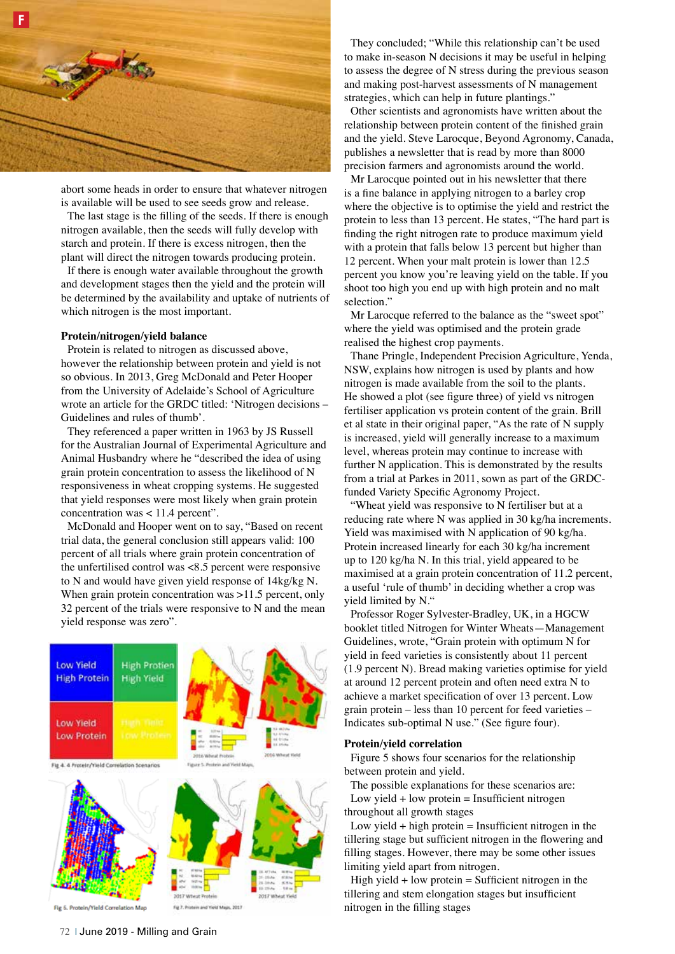

abort some heads in order to ensure that whatever nitrogen is available will be used to see seeds grow and release.

The last stage is the flling of the seeds. If there is enough nitrogen available, then the seeds will fully develop with starch and protein. If there is excess nitrogen, then the plant will direct the nitrogen towards producing protein.

If there is enough water available throughout the growth and development stages then the yield and the protein will be determined by the availability and uptake of nutrients of which nitrogen is the most important.

#### **Protein/nitrogen/yield balance**

Protein is related to nitrogen as discussed above, however the relationship between protein and yield is not so obvious. In 2013, Greg McDonald and Peter Hooper from the University of Adelaide's School of Agriculture wrote an article for the GRDC titled: 'Nitrogen decisions – Guidelines and rules of thumb'.

They referenced a paper written in 1963 by JS Russell for the Australian Journal of Experimental Agriculture and Animal Husbandry where he "described the idea of using grain protein concentration to assess the likelihood of N responsiveness in wheat cropping systems. He suggested that yield responses were most likely when grain protein concentration was < 11.4 percent".

McDonald and Hooper went on to say, "Based on recent trial data, the general conclusion still appears valid: 100 percent of all trials where grain protein concentration of the unfertilised control was <8.5 percent were responsive to N and would have given yield response of 14kg/kg N. When grain protein concentration was >11.5 percent, only 32 percent of the trials were responsive to N and the mean yield response was zero".



Fig 6, Protein/Yield Correlation Map

and Yard Maps, 2017

They concluded; "While this relationship can't be used to make in-season N decisions it may be useful in helping to assess the degree of N stress during the previous season and making post-harvest assessments of N management strategies, which can help in future plantings."

Other scientists and agronomists have written about the relationship between protein content of the fnished grain and the yield. Steve Larocque, Beyond Agronomy, Canada, publishes a newsletter that is read by more than 8000 precision farmers and agronomists around the world.

Mr Larocque pointed out in his newsletter that there is a fne balance in applying nitrogen to a barley crop where the objective is to optimise the yield and restrict the protein to less than 13 percent. He states, "The hard part is fnding the right nitrogen rate to produce maximum yield with a protein that falls below 13 percent but higher than 12 percent. When your malt protein is lower than 12.5 percent you know you're leaving yield on the table. If you shoot too high you end up with high protein and no malt selection."

Mr Larocque referred to the balance as the "sweet spot" where the yield was optimised and the protein grade realised the highest crop payments.

Thane Pringle, Independent Precision Agriculture, Yenda, NSW, explains how nitrogen is used by plants and how nitrogen is made available from the soil to the plants. He showed a plot (see fgure three) of yield vs nitrogen fertiliser application vs protein content of the grain. Brill et al state in their original paper, "As the rate of N supply is increased, yield will generally increase to a maximum level, whereas protein may continue to increase with further N application. This is demonstrated by the results from a trial at Parkes in 2011, sown as part of the GRDCfunded Variety Specifc Agronomy Project.

"Wheat yield was responsive to N fertiliser but at a reducing rate where N was applied in 30 kg/ha increments. Yield was maximised with N application of 90 kg/ha. Protein increased linearly for each 30 kg/ha increment up to 120 kg/ha N. In this trial, yield appeared to be maximised at a grain protein concentration of 11.2 percent, a useful 'rule of thumb' in deciding whether a crop was yield limited by N."

Professor Roger Sylvester-Bradley, UK, in a HGCW booklet titled Nitrogen for Winter Wheats—Management Guidelines, wrote, "Grain protein with optimum N for yield in feed varieties is consistently about 11 percent (1.9 percent N). Bread making varieties optimise for yield at around 12 percent protein and often need extra N to achieve a market specifcation of over 13 percent. Low grain protein – less than 10 percent for feed varieties – Indicates sub-optimal N use." (See fgure four).

#### **Protein/yield correlation**

Figure 5 shows four scenarios for the relationship between protein and yield.

The possible explanations for these scenarios are: Low yield  $+$  low protein  $=$  Insufficient nitrogen throughout all growth stages

Low yield  $+$  high protein  $=$  Insufficient nitrogen in the tillering stage but sufficient nitrogen in the flowering and flling stages. However, there may be some other issues limiting yield apart from nitrogen.

High yield  $+$  low protein  $=$  Sufficient nitrogen in the tillering and stem elongation stages but insufficient nitrogen in the flling stages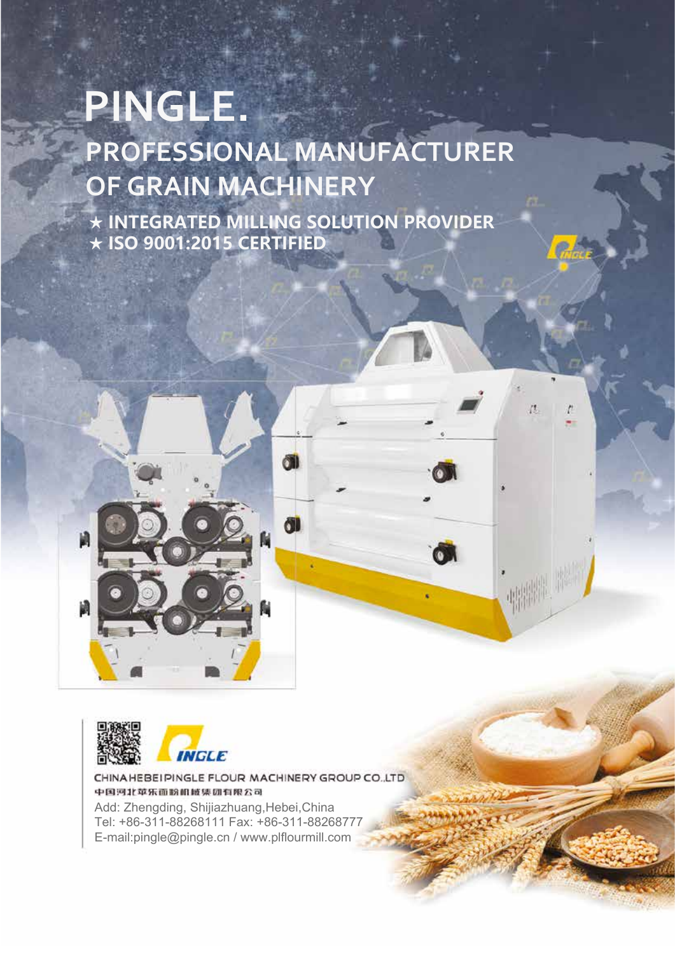# **PINGLE. PROFESSIONAL MANUFACTURER OF GRAIN MACHINERY**

**★ INTEGRATED MILLING SOLUTION PROVIDER ★ ISO 9001:2015 CERTIFIED**

螺帽





CHINA HEBEI PINGLE FLOUR MACHINERY GROUP CO. LTD 中国河北苹乐面粉机械集团有限公司 Add: Zhengding, Shijiazhuang, Hebei, China Tel: +86-311-88268111 Fax: +86-311-88268777 E-mail:pingle@pingle.cn / www.plflourmill.com